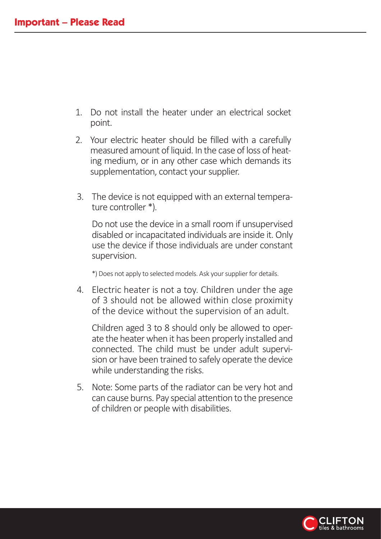- 1. Do not install the heater under an electrical socket point.
- 2. Your electric heater should be filled with a carefully measured amount of liquid. In the case of loss of heating medium, or in any other case which demands its supplementation, contact your supplier.
- 3. The device is not equipped with an external temperature controller \*)

 Do not use the device in a small room if unsupervised disabled or incapacitated individuals are inside it. Only use the device if those individuals are under constant supervision.

Does not apply to selected models. Ask your supplier for details.

4. Electric heater is not a toy. Children under the age of 3 should not be allowed within close proximity of the device without the supervision of an adult.

Children aged 3 to 8 should only be allowed to operate the heater when it has been properly installed and connected. The child must be under adult supervision or have been trained to safely operate the device while understanding the risks.

5. Note: Some parts of the radiator can be very hot and can cause burns. Pay special attention to the presence of children or people with disabilities.

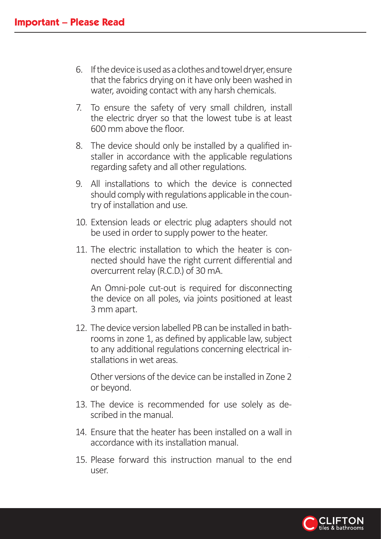- 6. If the device is used as a clothes and towel dryer, ensure that the fabrics drying on it have only been washed in water, avoiding contact with any harsh chemicals.
- 7. To ensure the safety of very small children, install the electric dryer so that the lowest tube is at least 600 mm above the floor.
- 8. The device should only be installed by a qualified installer in accordance with the applicable regulations regarding safety and all other regulations.
- 9. All installations to which the device is connected should comply with regulations applicable in the country of installation and use.
- 10. Extension leads or electric plug adapters should not be used in order to supply power to the heater.
- 11. The electric installation to which the heater is connected should have the right current differential and overcurrent relay (R.C.D.) of 30 mA.

An Omni-pole cut-out is required for disconnecting the device on all poles, via joints positioned at least 3 mm apart.

to any dealership regulations concerning electrical in 12. The device version labelled PB can be installed in bathrooms in zone 1, as defined by applicable law, subject to any additional regulations concerning electrical in-

Other versions of the device can be installed in Zone 2 or beyond.

- 13. The device is recommended for use solely as described in the manual.
- 14. Ensure that the heater has been installed on a wall in accordance with its installation manual.
- 15 Please forward this instruction manual to the end user.

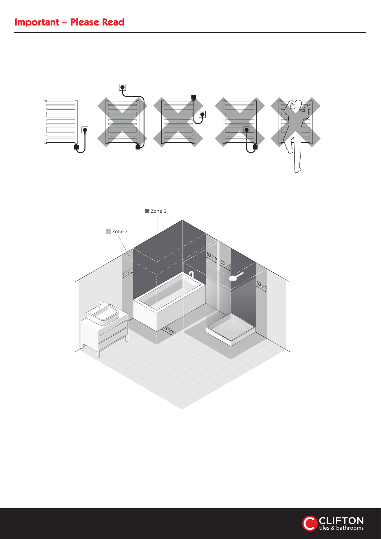



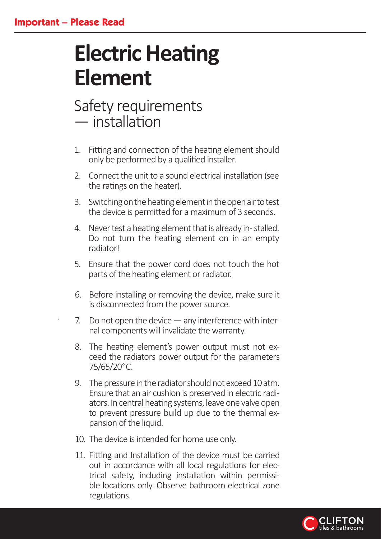# **Electric Heating Element**

# Safety requirements  $-$  installation

- 1. Fitting and connection of the heating element should only be performed by a qualified installer.
- 2. Connect the unit to a sound electrical installation (see the ratings on the heater).
- 3. Switching on the heating element in the open air to test the device is permitted for a maximum of 3 seconds.
- 4. Never test a heating element that is already in-stalled. Do not turn the heating element on in an empty radiator
- . Ensure that the power cord does not touch the hot parts of the heating element or radiator.
- 6. Before installing or removing the device, make sure it is disconnected from the power source.
- $\frac{1}{2}$  7. Do not open the device  $-$  any interference with internal components will invalidate the warranty.
	- 8. The heating element's power output must not exceed the radiators power output for the parameters  $75/65/20^{\circ}$ C.
	- 9. The pressure in the radiator should not exceed 10 atm. Ensure that an air cushion is preserved in electric radiators. In central heating systems, leave one valve open to prevent pressure build up due to the thermal expansion of the liquid.
	- 10. The device is intended for home use only.
	- 11. Fitting and Installation of the device must be carried out in accordance with all local regulations for electrical safety, including installation within permissible locations only. Observe bathroom electrical zone regulations.

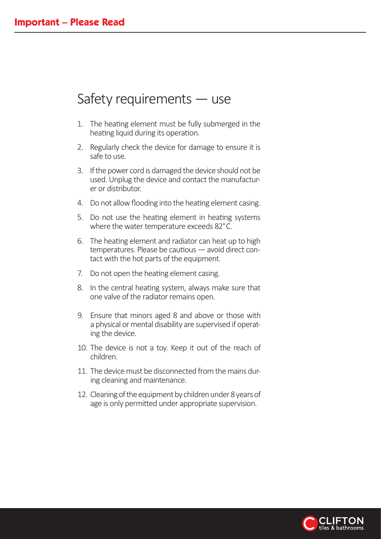### Safety requirements  $-$  use

- 1. The heating element must be fully submerged in the heating liquid during its operation.
- 2. Regularly check the device for damage to ensure it is safe to use.
- 3. If the power cord is damaged the device should not be used. Unplug the device and contact the manufacturer or distributor.
- 4. Do not allow flooding into the heating element casing.
- 5. Do not use the heating element in heating systems where the water temperature exceeds 82°C.
- 6. The heating element and radiator can heat up to high  $temperatures. Please be cautions — avoid direct con$ tact with the hot parts of the equipment.
- 7. Do not open the heating element casing.
- 8. In the central heating system, always make sure that one valve of the radiator remains open.
- $10<sub>o</sub>$  and absolute. 9. Ensure that minors aged 8 and above or those with a physical or mental disability are supervised if operating the device.
	- 10. The device is not a toy. Keep it out of the reach of children.
	- 11. The device must be disconnected from the mains during cleaning and maintenance.
	- 12. Cleaning of the equipment by children under 8 years of age is only permitted under appropriate supervision.

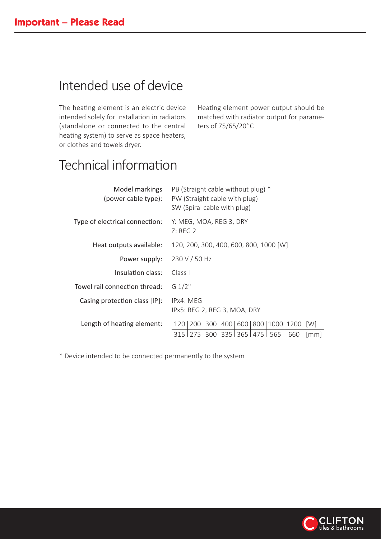## Intended use of device

The heating element is an electric device intended solely for installation in radiators (standalone or connected to the central heating system) to serve as space heaters, or clothes and towels dryer.

Heating element power output should be matched with radiator output for parameters of 75/65/20°C

### Technical information

| Model markings<br>(power cable type): | PB (Straight cable without plug) *<br>PW (Straight cable with plug)<br>SW (Spiral cable with plug) |  |  |
|---------------------------------------|----------------------------------------------------------------------------------------------------|--|--|
| Type of electrical connection:        | Y: MEG, MOA, REG 3, DRY<br>Z: REG2                                                                 |  |  |
| Heat outputs available:               | 120, 200, 300, 400, 600, 800, 1000 [W]                                                             |  |  |
| Power supply:                         | 230 V / 50 Hz                                                                                      |  |  |
| Insulation class:                     | Class I                                                                                            |  |  |
| Towel rail connection thread:         | G 1/2"                                                                                             |  |  |
| Casing protection class [IP]:         | IPx4: MEG<br>IPx5: REG 2, REG 3, MOA, DRY                                                          |  |  |
| Length of heating element:            | 200   300   400   600   800   1000   1200   W]<br>120                                              |  |  |
|                                       | 275   300   335   365   475   565  <br>660<br>315  <br> mm                                         |  |  |

Device intended to be connected permanently to the system

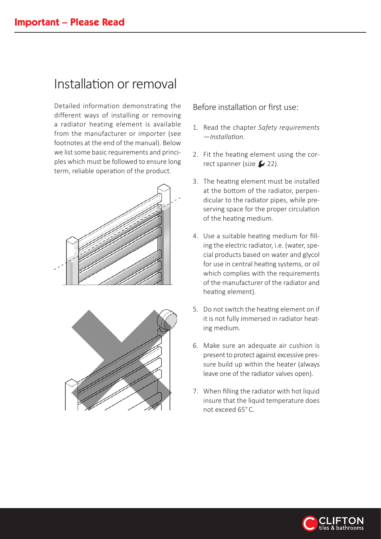### Installation or removal

Detailed information demonstrating the different ways of installing or removing a radiator heating element is available from the manufacturer or importer (see footnotes at the end of the manual). Below we list some basic requirements and principles which must be followed to ensure long term, reliable operation of the product.





Before installation or first use:

- 1. Read the chapter *Safety requirements —Installa琀on.*
- 2. Fit the heating element using the correct spanner (size  $\swarrow$  22).
- 3. The heating element must be installed at the bottom of the radiator, perpendicular to the radiator pipes, while preserving space for the proper circulation of the heating medium.
- 4. Use a suitable heating medium for filling the electric radiator, i.e. (water, special products based on water and glycol for use in central heating systems, or oil which complies with the requirements of the manufacturer of the radiator and heating element).
- 5. Do not switch the heating element on if it is not fully immersed in radiator heating medium.
- 6. Make sure an adequate air cushion is present to protect against excessive pressure build up within the heater (always leave one of the radiator valves open).
- 7. When filling the radiator with hot liquid insure that the liquid temperature does not exceed 65°C.

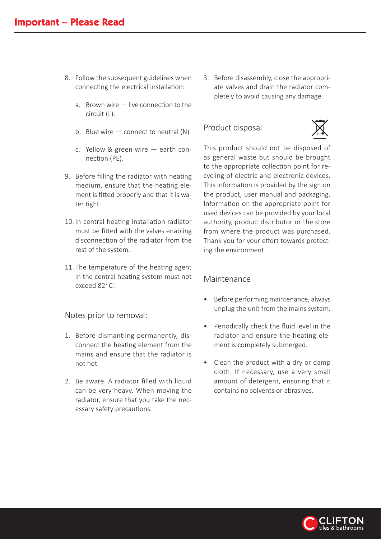- 8. Follow the subsequent guidelines when connecting the electrical installation:
	- a. Brown wire  $-$  live connection to the  $circuit$  (L).
	- b. Blue wire  $-$  connect to neutral  $(N)$
	- c. Yellow & green wire  $-$  earth connection (PE).
- 9. Before filling the radiator with heating medium, ensure that the heating element is fitted properly and that it is water tight.
- 10. In central heating installation radiator must be fitted with the valves enabling disconnection of the radiator from the rest of the system.
- 11. The temperature of the heating agent in the central heating system must not exceed 82°CI

#### Notes prior to removal:

- 1. Before dismantling permanently, disconnect the heating element from the mains and ensure that the radiator is not hot.
- 2. Be aware. A radiator filled with liquid can be very heavy. When moving the radiator, ensure that you take the necessary safety precautions.

3. Before disassembly, close the appropriate valves and drain the radiator completely to avoid causing any damage.

#### roduct disposal



This product should not be disposed of as general waste but should be brought to the appropriate collection point for recycling of electric and electronic devices. This information is provided by the sign on the product, user manual and packaging. Information on the appropriate point for used devices can be provided by your local authority, product distributor or the store from where the product was purchased. Thank you for your effort towards protecting the environment.

#### Maintenance

- Before performing maintenance, always unplug the unit from the mains system.
- Periodically check the fluid level in the radiator and ensure the heating element is completely submerged.
- Clean the product with a dry or damp cloth. If necessary, use a very small amount of detergent, ensuring that it contains no solvents or abrasives.

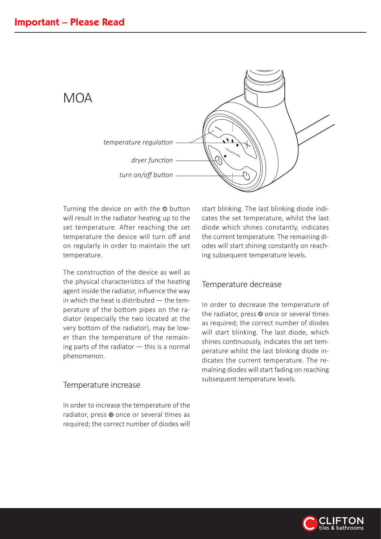

Turning the device on with the  $\Phi$  button will result in the radiator heating up to the set temperature. After reaching the set temperature the device will turn off and on regularly in order to maintain the set temperature.

The construction of the device as well as the physical characteristics of the heating agent inside the radiator, influence the way in which the heat is distributed  $-$  the temperature of the bottom pipes on the radiator (especially the two located at the very bottom of the radiator), may be lower than the temperature of the remaining parts of the radiator  $-$  this is a normal phenomenon.

#### Temperature increase

In order to increase the temperature of the radiator, press  $\oplus$  once or several times as required; the correct number of diodes will start blinking. The last blinking diode indicates the set temperature, whilst the last diode which shines constantly, indicates the current temperature. The remaining diodes will start shining constantly on reaching subsequent temperature levels.

#### Temperature decrease

In order to decrease the temperature of the radiator, press  $\Theta$  once or several times as required; the correct number of diodes will start blinking. The last diode, which shines continuously, indicates the set temperature whilst the last blinking diode indicates the current temperature. The remaining diodes will start fading on reaching subsequent temperature levels.

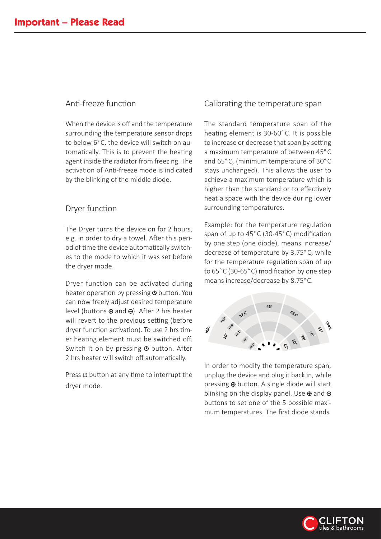#### Anti-freeze function

When the device is off and the temperature surrounding the temperature sensor drops to below 6°C, the device will switch on automatically. This is to prevent the heating agent inside the radiator from freezing. The activation of Anti-freeze mode is indicated by the blinking of the middle diode.

#### Dryer function

The Dryer turns the device on for 2 hours, e.g. in order to dry a towel. After this period of time the device automatically switches to the mode to which it was set before the dryer mode.

Dryer function can be activated during heater operation by pressing **O** button. You can now freely adjust desired temperature level (buttons  $\oplus$  and  $\ominus$ ). After 2 hrs heater will revert to the previous setting (before dryer function activation). To use 2 hrs timer heating element must be switched off. Switch it on by pressing @ button. After 2 hrs heater will switch off automatically.

Press  $\Phi$  button at any time to interrupt the dryer mode.

#### Calibrating the temperature span

he standard temperature span of the heating element is 30-60°C. It is possible to increase or decrease that span by setting a maximum temperature of between 45°C and 65°C, (minimum temperature of 30°C stays unchanged). This allows the user to achieve a maximum temperature which is higher than the standard or to effectively heat a space with the device during lower surrounding temperatures.

Example: for the temperature regulation span of up to 45°C (30-45°C) modification by one step (one diode), means increase/ decrease of temperature by 3.75°C, while for the temperature regulation span of up to 65°C (30-65°C) modification by one step means increase/decrease by 8.75°C.



In order to modify the temperature span, unplug the device and plug it back in, while pressing  $\oplus$  button. A single diode will start blinking on the display panel. Use  $\oplus$  and  $\ominus$ buttons to set one of the 5 possible maximum temperatures. The first diode stands